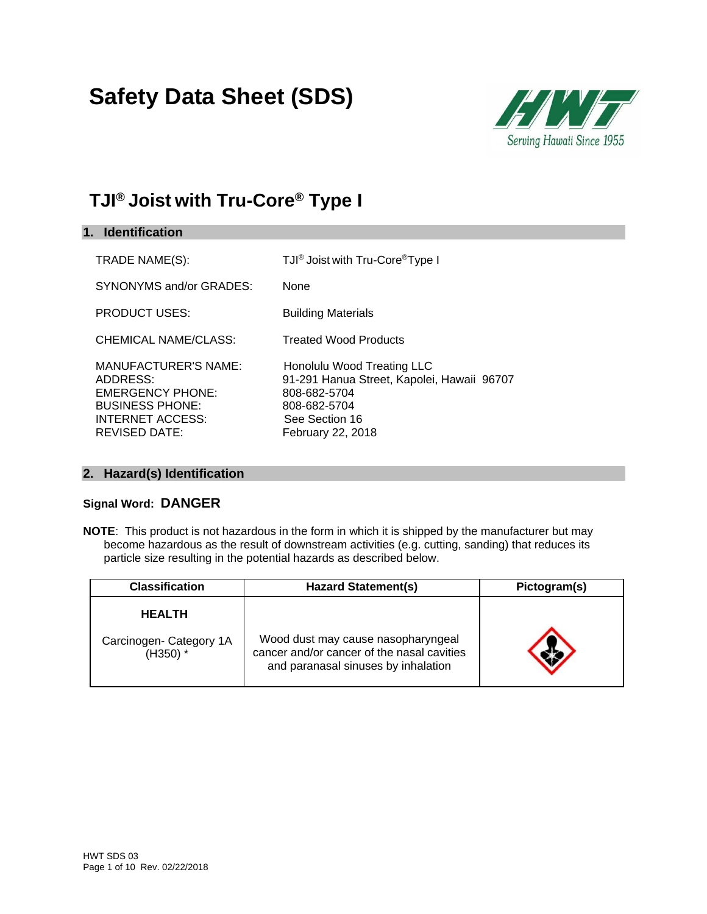# **Safety Data Sheet (SDS)**



### **TJI® Joist with Tru-Core® Type I**

| 1. Identification                                                                                                                 |                                                                                                                                                 |
|-----------------------------------------------------------------------------------------------------------------------------------|-------------------------------------------------------------------------------------------------------------------------------------------------|
| TRADE NAME(S):                                                                                                                    | TJI <sup>®</sup> Joist with Tru-Core <sup>®</sup> Type I                                                                                        |
| SYNONYMS and/or GRADES:                                                                                                           | None                                                                                                                                            |
| <b>PRODUCT USES:</b>                                                                                                              | <b>Building Materials</b>                                                                                                                       |
| CHEMICAL NAME/CLASS:                                                                                                              | <b>Treated Wood Products</b>                                                                                                                    |
| <b>MANUFACTURER'S NAME:</b><br>ADDRESS:<br><b>EMERGENCY PHONE:</b><br><b>BUSINESS PHONE:</b><br>INTERNET ACCESS:<br>REVISED DATE: | Honolulu Wood Treating LLC<br>91-291 Hanua Street, Kapolei, Hawaii 96707<br>808-682-5704<br>808-682-5704<br>See Section 16<br>February 22, 2018 |

#### **2. Hazard(s) Identification**

#### **Signal Word: DANGER**

**NOTE**: This product is not hazardous in the form in which it is shipped by the manufacturer but may become hazardous as the result of downstream activities (e.g. cutting, sanding) that reduces its particle size resulting in the potential hazards as described below.

| <b>Classification</b>                 | <b>Hazard Statement(s)</b>                                                                                              | Pictogram(s) |  |
|---------------------------------------|-------------------------------------------------------------------------------------------------------------------------|--------------|--|
| <b>HEALTH</b>                         |                                                                                                                         |              |  |
| Carcinogen- Category 1A<br>$(H350)$ * | Wood dust may cause nasopharyngeal<br>cancer and/or cancer of the nasal cavities<br>and paranasal sinuses by inhalation |              |  |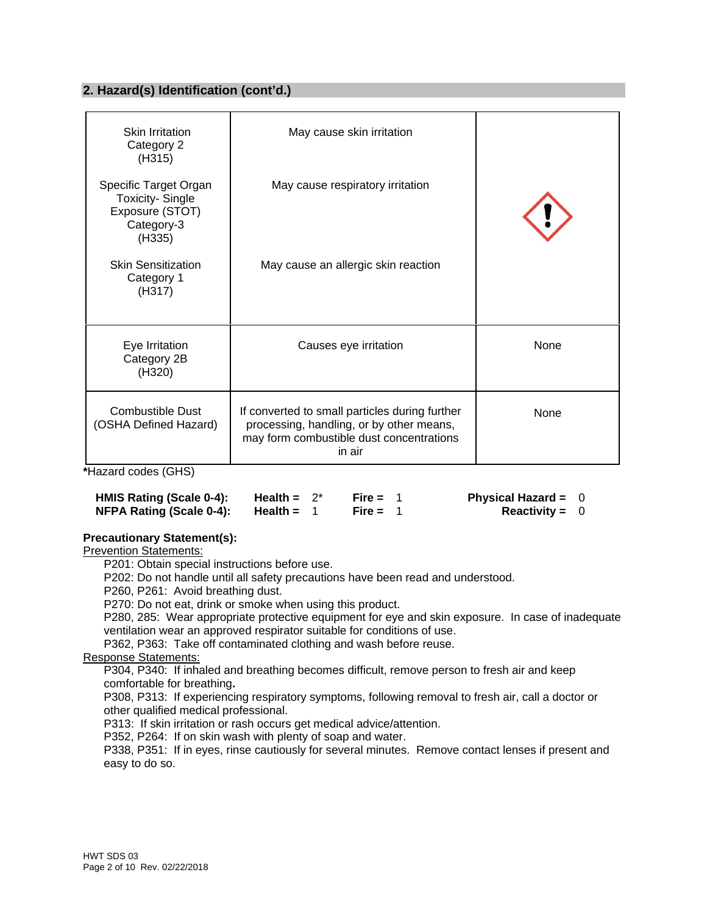#### **2. Hazard(s) Identification (cont'd.)**

| Skin Irritation<br>Category 2<br>(H315)                                                    | May cause skin irritation                                                                                                                        |      |
|--------------------------------------------------------------------------------------------|--------------------------------------------------------------------------------------------------------------------------------------------------|------|
| Specific Target Organ<br><b>Toxicity-Single</b><br>Exposure (STOT)<br>Category-3<br>(H335) | May cause respiratory irritation                                                                                                                 |      |
| <b>Skin Sensitization</b><br>Category 1<br>(H317)                                          | May cause an allergic skin reaction                                                                                                              |      |
| Eye Irritation<br>Category 2B<br>(H320)                                                    | Causes eye irritation                                                                                                                            | None |
| <b>Combustible Dust</b><br>(OSHA Defined Hazard)                                           | If converted to small particles during further<br>processing, handling, or by other means,<br>may form combustible dust concentrations<br>in air | None |

**\***Hazard codes (GHS)

| HMIS Rating (Scale 0-4): | Health = $2^*$ | Fire = $1$ | Physical Hazard = $0$ |  |
|--------------------------|----------------|------------|-----------------------|--|
| NFPA Rating (Scale 0-4): | Health =       | Fire = $1$ | <b>Reactivity = 0</b> |  |

#### **Precautionary Statement(s):**

Prevention Statements:

P201: Obtain special instructions before use.

P202: Do not handle until all safety precautions have been read and understood.

P260, P261: Avoid breathing dust.

P270: Do not eat, drink or smoke when using this product.

P280, 285: Wear appropriate protective equipment for eye and skin exposure. In case of inadequate ventilation wear an approved respirator suitable for conditions of use.

P362, P363: Take off contaminated clothing and wash before reuse.

Response Statements:

P304, P340: If inhaled and breathing becomes difficult, remove person to fresh air and keep comfortable for breathing**.** 

P308, P313: If experiencing respiratory symptoms, following removal to fresh air, call a doctor or other qualified medical professional.

P313: If skin irritation or rash occurs get medical advice/attention.

P352, P264: If on skin wash with plenty of soap and water.

P338, P351: If in eyes, rinse cautiously for several minutes. Remove contact lenses if present and easy to do so.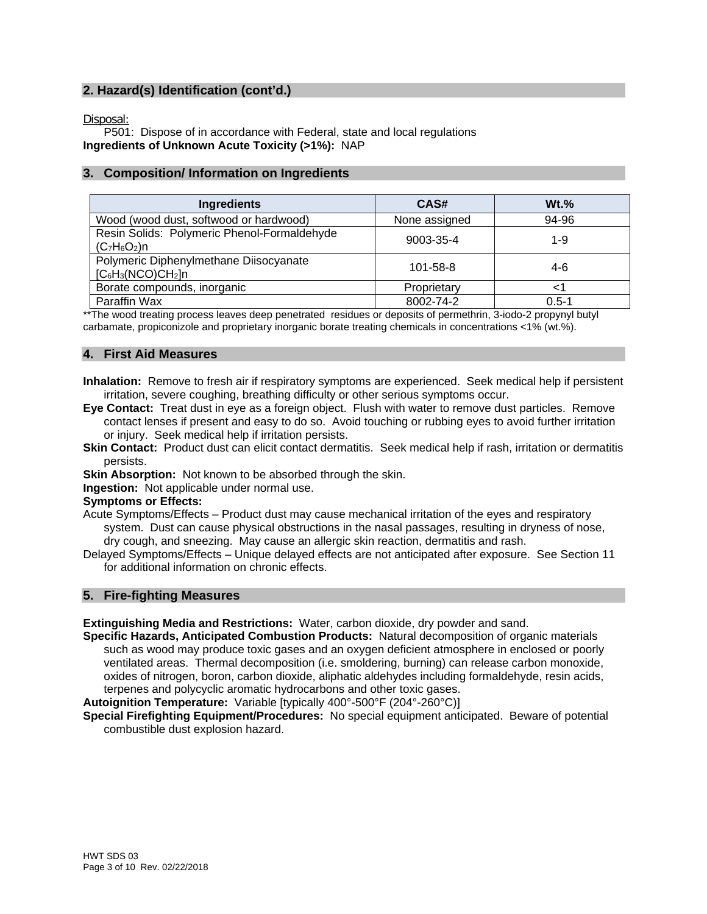#### **2. Hazard(s) Identification (cont'd.)**

Disposal:

P501: Dispose of in accordance with Federal, state and local regulations **Ingredients of Unknown Acute Toxicity (>1%):** NAP

#### **3. Composition/ Information on Ingredients**

| Ingredients                                                    | CAS#           | $Wt.$ %   |
|----------------------------------------------------------------|----------------|-----------|
| Wood (wood dust, softwood or hardwood)                         | None assigned  | 94-96     |
| Resin Solids: Polymeric Phenol-Formaldehyde<br>$(C_7H_6O_2)n$  | 9003-35-4      | $1 - 9$   |
| Polymeric Diphenylmethane Diisocyanate<br>$[C_6H_3(NCO)CH_2]n$ | $101 - 58 - 8$ | 4-6       |
| Borate compounds, inorganic                                    | Proprietary    |           |
| Paraffin Wax                                                   | 8002-74-2      | $0.5 - 1$ |

\*\*The wood treating process leaves deep penetrated residues or deposits of permethrin, 3-iodo-2 propynyl butyl carbamate, propiconizole and proprietary inorganic borate treating chemicals in concentrations <1% (wt.%).

#### **4. First Aid Measures**

**Inhalation:** Remove to fresh air if respiratory symptoms are experienced. Seek medical help if persistent irritation, severe coughing, breathing difficulty or other serious symptoms occur.

- **Eye Contact:** Treat dust in eye as a foreign object. Flush with water to remove dust particles. Remove contact lenses if present and easy to do so. Avoid touching or rubbing eyes to avoid further irritation or injury. Seek medical help if irritation persists.
- **Skin Contact:** Product dust can elicit contact dermatitis. Seek medical help if rash, irritation or dermatitis persists.
- **Skin Absorption:** Not known to be absorbed through the skin.

**Ingestion:** Not applicable under normal use.

#### **Symptoms or Effects:**

Acute Symptoms/Effects – Product dust may cause mechanical irritation of the eyes and respiratory system. Dust can cause physical obstructions in the nasal passages, resulting in dryness of nose, dry cough, and sneezing. May cause an allergic skin reaction, dermatitis and rash.

Delayed Symptoms/Effects – Unique delayed effects are not anticipated after exposure. See Section 11 for additional information on chronic effects.

#### **5. Fire-fighting Measures**

**Extinguishing Media and Restrictions:** Water, carbon dioxide, dry powder and sand.

**Specific Hazards, Anticipated Combustion Products:** Natural decomposition of organic materials such as wood may produce toxic gases and an oxygen deficient atmosphere in enclosed or poorly ventilated areas. Thermal decomposition (i.e. smoldering, burning) can release carbon monoxide, oxides of nitrogen, boron, carbon dioxide, aliphatic aldehydes including formaldehyde, resin acids, terpenes and polycyclic aromatic hydrocarbons and other toxic gases.

**Autoignition Temperature:** Variable [typically 400°-500°F (204°-260°C)]

**Special Firefighting Equipment/Procedures:** No special equipment anticipated. Beware of potential combustible dust explosion hazard.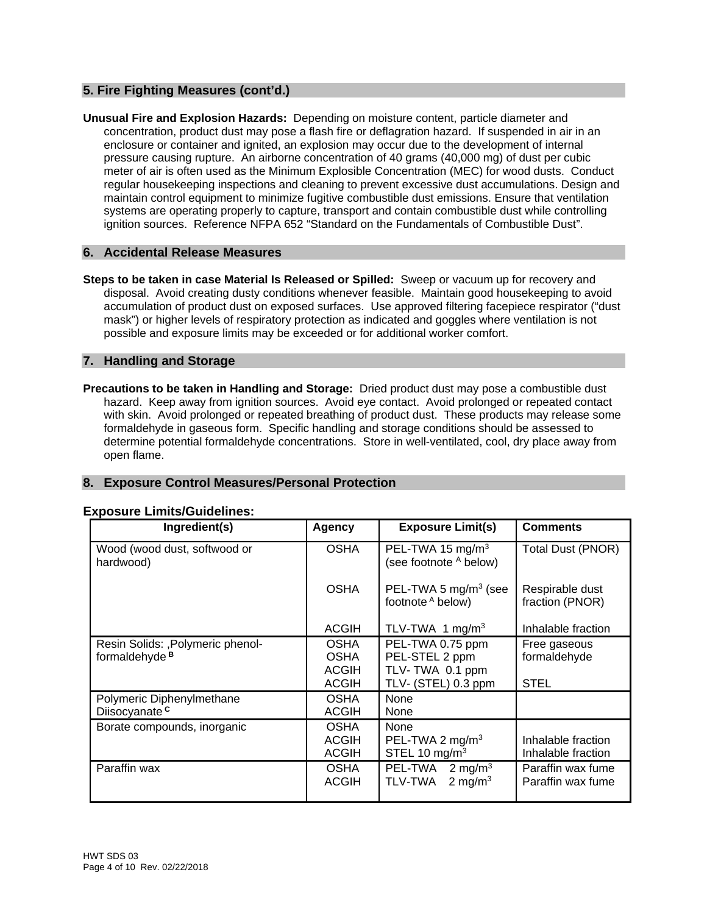#### **5. Fire Fighting Measures (cont'd.)**

**Unusual Fire and Explosion Hazards:** Depending on moisture content, particle diameter and concentration, product dust may pose a flash fire or deflagration hazard. If suspended in air in an enclosure or container and ignited, an explosion may occur due to the development of internal pressure causing rupture. An airborne concentration of 40 grams (40,000 mg) of dust per cubic meter of air is often used as the Minimum Explosible Concentration (MEC) for wood dusts. Conduct regular housekeeping inspections and cleaning to prevent excessive dust accumulations. Design and maintain control equipment to minimize fugitive combustible dust emissions. Ensure that ventilation systems are operating properly to capture, transport and contain combustible dust while controlling ignition sources. Reference NFPA 652 "Standard on the Fundamentals of Combustible Dust".

#### **6. Accidental Release Measures**

**Steps to be taken in case Material Is Released or Spilled:** Sweep or vacuum up for recovery and disposal. Avoid creating dusty conditions whenever feasible. Maintain good housekeeping to avoid accumulation of product dust on exposed surfaces. Use approved filtering facepiece respirator ("dust mask") or higher levels of respiratory protection as indicated and goggles where ventilation is not possible and exposure limits may be exceeded or for additional worker comfort.

#### **7. Handling and Storage**

**Precautions to be taken in Handling and Storage:** Dried product dust may pose a combustible dust hazard. Keep away from ignition sources. Avoid eye contact. Avoid prolonged or repeated contact with skin. Avoid prolonged or repeated breathing of product dust. These products may release some formaldehyde in gaseous form. Specific handling and storage conditions should be assessed to determine potential formaldehyde concentrations. Store in well-ventilated, cool, dry place away from open flame.

#### **8. Exposure Control Measures/Personal Protection**

| Ingredient(s)                                                  | <b>Agency</b>                                              | <b>Exposure Limit(s)</b>                                                     | <b>Comments</b>                          |
|----------------------------------------------------------------|------------------------------------------------------------|------------------------------------------------------------------------------|------------------------------------------|
| Wood (wood dust, softwood or<br>hardwood)                      | <b>OSHA</b>                                                | PEL-TWA 15 mg/m <sup>3</sup><br>(see footnote A below)                       | Total Dust (PNOR)                        |
|                                                                | <b>OSHA</b>                                                | PEL-TWA 5 $mg/m3$ (see<br>footnote A below)                                  | Respirable dust<br>fraction (PNOR)       |
|                                                                | <b>ACGIH</b>                                               | TLV-TWA 1 mg/m <sup>3</sup>                                                  | Inhalable fraction                       |
| Resin Solids: , Polymeric phenol-<br>formaldehyde <sup>B</sup> | <b>OSHA</b><br><b>OSHA</b><br><b>ACGIH</b><br><b>ACGIH</b> | PEL-TWA 0.75 ppm<br>PEL-STEL 2 ppm<br>TLV-TWA 0.1 ppm<br>TLV- (STEL) 0.3 ppm | Free gaseous<br>formaldehyde<br>STEL     |
| Polymeric Diphenylmethane<br>Diisocyanate <sup>c</sup>         | <b>OSHA</b><br><b>ACGIH</b>                                | None<br>None                                                                 |                                          |
| Borate compounds, inorganic                                    | <b>OSHA</b><br><b>ACGIH</b><br><b>ACGIH</b>                | None<br>PEL-TWA 2 mg/m <sup>3</sup><br>STEL 10 $mg/m3$                       | Inhalable fraction<br>Inhalable fraction |
| Paraffin wax                                                   | <b>OSHA</b><br><b>ACGIH</b>                                | PEL-TWA<br>2 mg/m $3$<br>2 mg/m <sup>3</sup><br>TLV-TWA                      | Paraffin wax fume<br>Paraffin wax fume   |

#### **Exposure Limits/Guidelines:**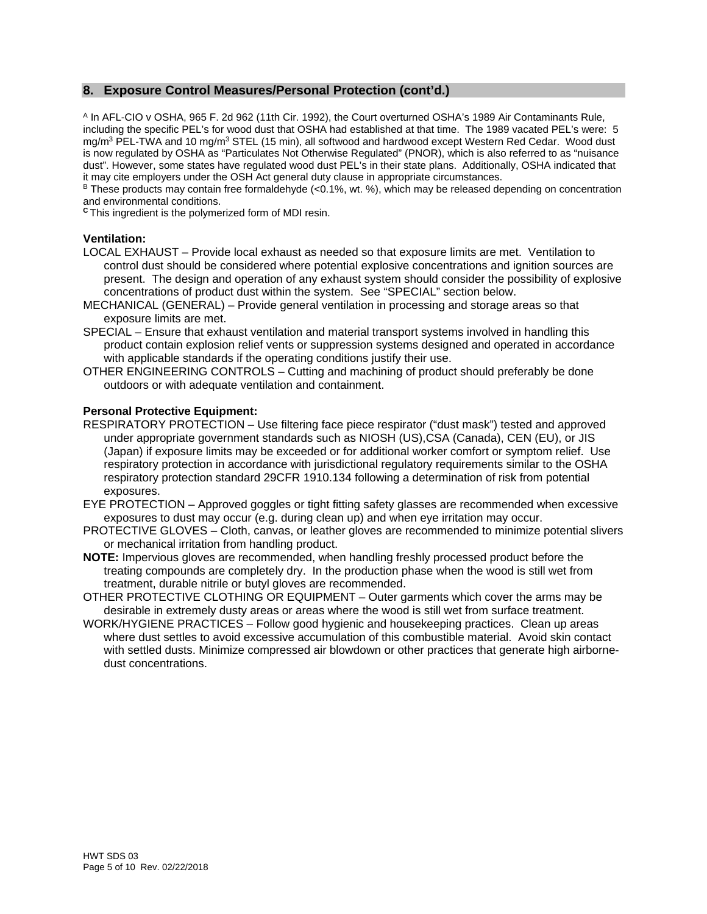#### **8. Exposure Control Measures/Personal Protection (cont'd.)**

A In AFL-CIO v OSHA, 965 F. 2d 962 (11th Cir. 1992), the Court overturned OSHA's 1989 Air Contaminants Rule, including the specific PEL's for wood dust that OSHA had established at that time. The 1989 vacated PEL's were: 5 mg/m<sup>3</sup> PEL-TWA and 10 mg/m<sup>3</sup> STEL (15 min), all softwood and hardwood except Western Red Cedar. Wood dust is now regulated by OSHA as "Particulates Not Otherwise Regulated" (PNOR), which is also referred to as "nuisance dust". However, some states have regulated wood dust PEL's in their state plans. Additionally, OSHA indicated that it may cite employers under the OSH Act general duty clause in appropriate circumstances.

 $B$  These products may contain free formaldehyde (<0.1%, wt. %), which may be released depending on concentration and environmental conditions.

**<sup>C</sup>**This ingredient is the polymerized form of MDI resin.

#### **Ventilation:**

- LOCAL EXHAUST Provide local exhaust as needed so that exposure limits are met. Ventilation to control dust should be considered where potential explosive concentrations and ignition sources are present. The design and operation of any exhaust system should consider the possibility of explosive concentrations of product dust within the system. See "SPECIAL" section below.
- MECHANICAL (GENERAL) Provide general ventilation in processing and storage areas so that exposure limits are met.
- SPECIAL Ensure that exhaust ventilation and material transport systems involved in handling this product contain explosion relief vents or suppression systems designed and operated in accordance with applicable standards if the operating conditions justify their use.
- OTHER ENGINEERING CONTROLS Cutting and machining of product should preferably be done outdoors or with adequate ventilation and containment.

#### **Personal Protective Equipment:**

- RESPIRATORY PROTECTION Use filtering face piece respirator ("dust mask") tested and approved under appropriate government standards such as NIOSH (US),CSA (Canada), CEN (EU), or JIS (Japan) if exposure limits may be exceeded or for additional worker comfort or symptom relief. Use respiratory protection in accordance with jurisdictional regulatory requirements similar to the OSHA respiratory protection standard 29CFR 1910.134 following a determination of risk from potential exposures.
- EYE PROTECTION Approved goggles or tight fitting safety glasses are recommended when excessive exposures to dust may occur (e.g. during clean up) and when eye irritation may occur.
- PROTECTIVE GLOVES Cloth, canvas, or leather gloves are recommended to minimize potential slivers or mechanical irritation from handling product.
- **NOTE:** Impervious gloves are recommended, when handling freshly processed product before the treating compounds are completely dry. In the production phase when the wood is still wet from treatment, durable nitrile or butyl gloves are recommended.
- OTHER PROTECTIVE CLOTHING OR EQUIPMENT Outer garments which cover the arms may be desirable in extremely dusty areas or areas where the wood is still wet from surface treatment.
- WORK/HYGIENE PRACTICES Follow good hygienic and housekeeping practices. Clean up areas where dust settles to avoid excessive accumulation of this combustible material. Avoid skin contact with settled dusts. Minimize compressed air blowdown or other practices that generate high airbornedust concentrations.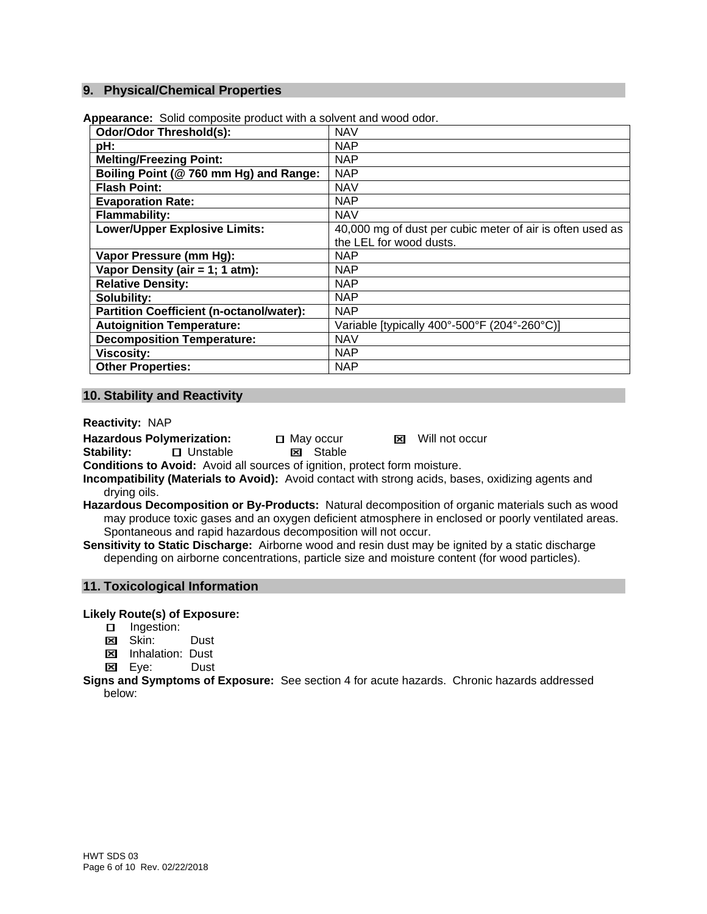#### **9. Physical/Chemical Properties**

| <b>NAV</b>                                                |
|-----------------------------------------------------------|
| <b>NAP</b>                                                |
| <b>NAP</b>                                                |
| <b>NAP</b>                                                |
| <b>NAV</b>                                                |
| <b>NAP</b>                                                |
| <b>NAV</b>                                                |
| 40,000 mg of dust per cubic meter of air is often used as |
| the LEL for wood dusts.                                   |
| <b>NAP</b>                                                |
| <b>NAP</b>                                                |
| <b>NAP</b>                                                |
| <b>NAP</b>                                                |
| <b>NAP</b>                                                |
| Variable [typically 400°-500°F (204°-260°C)]              |
| <b>NAV</b>                                                |
| <b>NAP</b>                                                |
| <b>NAP</b>                                                |
|                                                           |

**Appearance:** Solid composite product with a solvent and wood odor.

#### **10. Stability and Reactivity**

**Reactivity:** NAP

Hazardous Polymerization: 
<br> **Stability:**  $\Box$  Unstable  $\Box$  Stable **Stability:** UnstableStable

**Conditions to Avoid:** Avoid all sources of ignition, protect form moisture.

- **Incompatibility (Materials to Avoid):** Avoid contact with strong acids, bases, oxidizing agents and drying oils.
- **Hazardous Decomposition or By-Products:** Natural decomposition of organic materials such as wood may produce toxic gases and an oxygen deficient atmosphere in enclosed or poorly ventilated areas. Spontaneous and rapid hazardous decomposition will not occur.
- **Sensitivity to Static Discharge:** Airborne wood and resin dust may be ignited by a static discharge depending on airborne concentrations, particle size and moisture content (for wood particles).

#### **11. Toxicological Information**

**Likely Route(s) of Exposure:**

- □ Ingestion:
- **Ed Skin:** Dust
- **EX** Inhalation: Dust
- Eye:Dust

**Signs and Symptoms of Exposure:** See section 4 for acute hazards. Chronic hazards addressed below: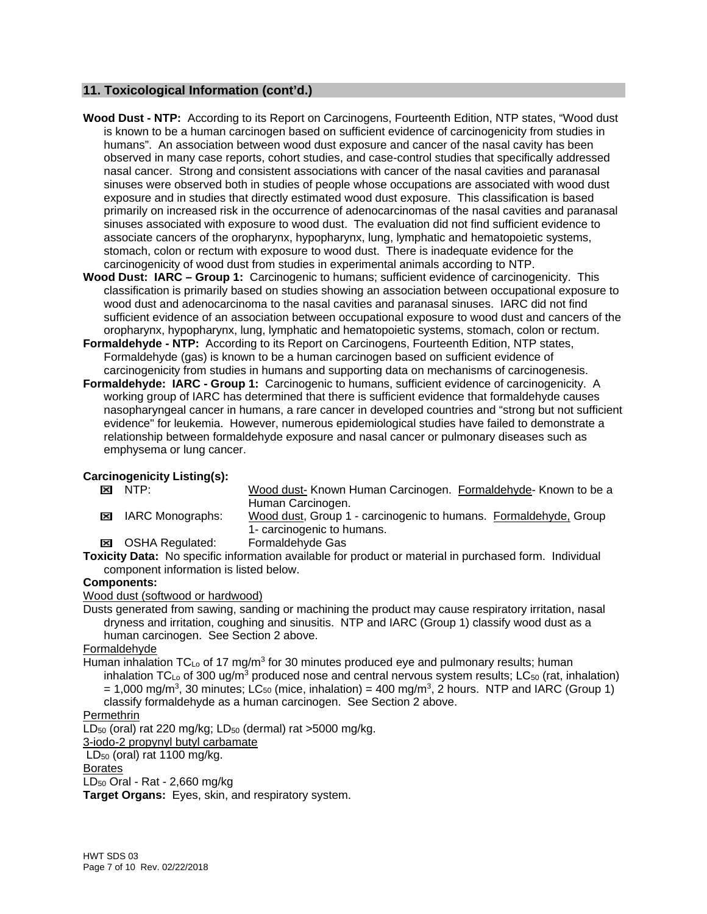#### **11. Toxicological Information (cont'd.)**

- **Wood Dust NTP:** According to its Report on Carcinogens, Fourteenth Edition, NTP states, "Wood dust is known to be a human carcinogen based on sufficient evidence of carcinogenicity from studies in humans". An association between wood dust exposure and cancer of the nasal cavity has been observed in many case reports, cohort studies, and case-control studies that specifically addressed nasal cancer. Strong and consistent associations with cancer of the nasal cavities and paranasal sinuses were observed both in studies of people whose occupations are associated with wood dust exposure and in studies that directly estimated wood dust exposure. This classification is based primarily on increased risk in the occurrence of adenocarcinomas of the nasal cavities and paranasal sinuses associated with exposure to wood dust. The evaluation did not find sufficient evidence to associate cancers of the oropharynx, hypopharynx, lung, lymphatic and hematopoietic systems, stomach, colon or rectum with exposure to wood dust. There is inadequate evidence for the carcinogenicity of wood dust from studies in experimental animals according to NTP.
- **Wood Dust: IARC Group 1:** Carcinogenic to humans; sufficient evidence of carcinogenicity. This classification is primarily based on studies showing an association between occupational exposure to wood dust and adenocarcinoma to the nasal cavities and paranasal sinuses. IARC did not find sufficient evidence of an association between occupational exposure to wood dust and cancers of the oropharynx, hypopharynx, lung, lymphatic and hematopoietic systems, stomach, colon or rectum.
- **Formaldehyde NTP:** According to its Report on Carcinogens, Fourteenth Edition, NTP states, Formaldehyde (gas) is known to be a human carcinogen based on sufficient evidence of carcinogenicity from studies in humans and supporting data on mechanisms of carcinogenesis.
- **Formaldehyde: IARC Group 1:** Carcinogenic to humans, sufficient evidence of carcinogenicity. A working group of IARC has determined that there is sufficient evidence that formaldehyde causes nasopharyngeal cancer in humans, a rare cancer in developed countries and "strong but not sufficient evidence" for leukemia. However, numerous epidemiological studies have failed to demonstrate a relationship between formaldehyde exposure and nasal cancer or pulmonary diseases such as emphysema or lung cancer.

## **Carcinogenicity Listing(s):**<br> **EXI** NTP:

- Wood dust- Known Human Carcinogen. Formaldehyde- Known to be a Human Carcinogen.
- IARC Monographs: Wood dust, Group 1 carcinogenic to humans. Formaldehyde, Group 1- carcinogenic to humans.
- OSHA Regulated: Formaldehyde Gas

**Toxicity Data:** No specific information available for product or material in purchased form. Individual component information is listed below.

#### **Components:**

Wood dust (softwood or hardwood)

Dusts generated from sawing, sanding or machining the product may cause respiratory irritation, nasal dryness and irritation, coughing and sinusitis. NTP and IARC (Group 1) classify wood dust as a human carcinogen. See Section 2 above.

#### Formaldehyde

Human inhalation  $TC_{Lo}$  of 17 mg/m<sup>3</sup> for 30 minutes produced eye and pulmonary results; human inhalation TC<sub>Lo</sub> of 300 ug/m<sup>3</sup> produced nose and central nervous system results; LC<sub>50</sub> (rat, inhalation)  $= 1,000$  mg/m<sup>3</sup>, 30 minutes; LC<sub>50</sub> (mice, inhalation) = 400 mg/m<sup>3</sup>, 2 hours. NTP and IARC (Group 1) classify formaldehyde as a human carcinogen. See Section 2 above.

#### Permethrin

LD<sub>50</sub> (oral) rat 220 mg/kg; LD<sub>50</sub> (dermal) rat >5000 mg/kg.

3-iodo-2 propynyl butyl carbamate

 $LD_{50}$  (oral) rat 1100 mg/kg.

Borates

LD50 Oral - Rat - 2,660 mg/kg

**Target Organs:** Eyes, skin, and respiratory system.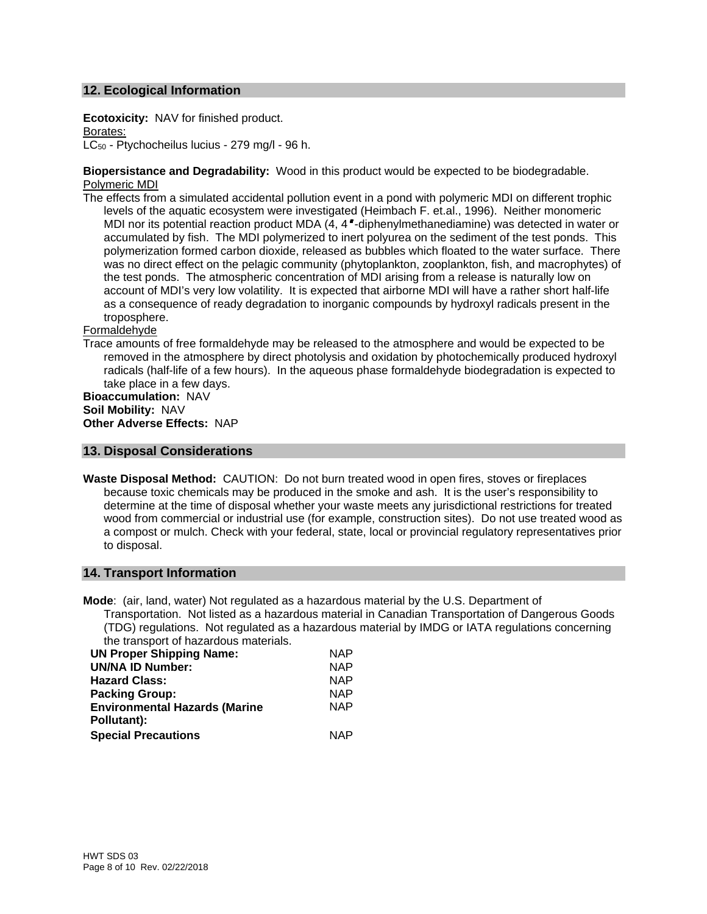#### **12. Ecological Information**

**Ecotoxicity:** NAV for finished product. Borates: LC<sub>50</sub> - Ptychocheilus lucius - 279 mg/l - 96 h.

**Biopersistance and Degradability:** Wood in this product would be expected to be biodegradable. Polymeric MDI

The effects from a simulated accidental pollution event in a pond with polymeric MDI on different trophic levels of the aquatic ecosystem were investigated (Heimbach F. et.al., 1996). Neither monomeric MDI nor its potential reaction product MDA (4, 4 -diphenylmethanediamine) was detected in water or accumulated by fish. The MDI polymerized to inert polyurea on the sediment of the test ponds. This polymerization formed carbon dioxide, released as bubbles which floated to the water surface. There was no direct effect on the pelagic community (phytoplankton, zooplankton, fish, and macrophytes) of the test ponds. The atmospheric concentration of MDI arising from a release is naturally low on account of MDI's very low volatility. It is expected that airborne MDI will have a rather short half-life as a consequence of ready degradation to inorganic compounds by hydroxyl radicals present in the troposphere.

#### Formaldehyde

Trace amounts of free formaldehyde may be released to the atmosphere and would be expected to be removed in the atmosphere by direct photolysis and oxidation by photochemically produced hydroxyl radicals (half-life of a few hours). In the aqueous phase formaldehyde biodegradation is expected to take place in a few days.

#### **Bioaccumulation:** NAV **Soil Mobility:** NAV **Other Adverse Effects:** NAP

#### **13. Disposal Considerations**

**Waste Disposal Method:** CAUTION: Do not burn treated wood in open fires, stoves or fireplaces because toxic chemicals may be produced in the smoke and ash. It is the user's responsibility to determine at the time of disposal whether your waste meets any jurisdictional restrictions for treated wood from commercial or industrial use (for example, construction sites). Do not use treated wood as a compost or mulch. Check with your federal, state, local or provincial regulatory representatives prior to disposal.

#### **14. Transport Information**

**Mode**: (air, land, water) Not regulated as a hazardous material by the U.S. Department of Transportation. Not listed as a hazardous material in Canadian Transportation of Dangerous Goods (TDG) regulations. Not regulated as a hazardous material by IMDG or IATA regulations concerning the transport of hazardous materials.

| are added to make a deal materiale.  |            |
|--------------------------------------|------------|
| <b>UN Proper Shipping Name:</b>      | <b>NAP</b> |
| <b>UN/NA ID Number:</b>              | <b>NAP</b> |
| <b>Hazard Class:</b>                 | <b>NAP</b> |
| <b>Packing Group:</b>                | <b>NAP</b> |
| <b>Environmental Hazards (Marine</b> | <b>NAP</b> |
| Pollutant):                          |            |
| <b>Special Precautions</b>           | <b>NAP</b> |
|                                      |            |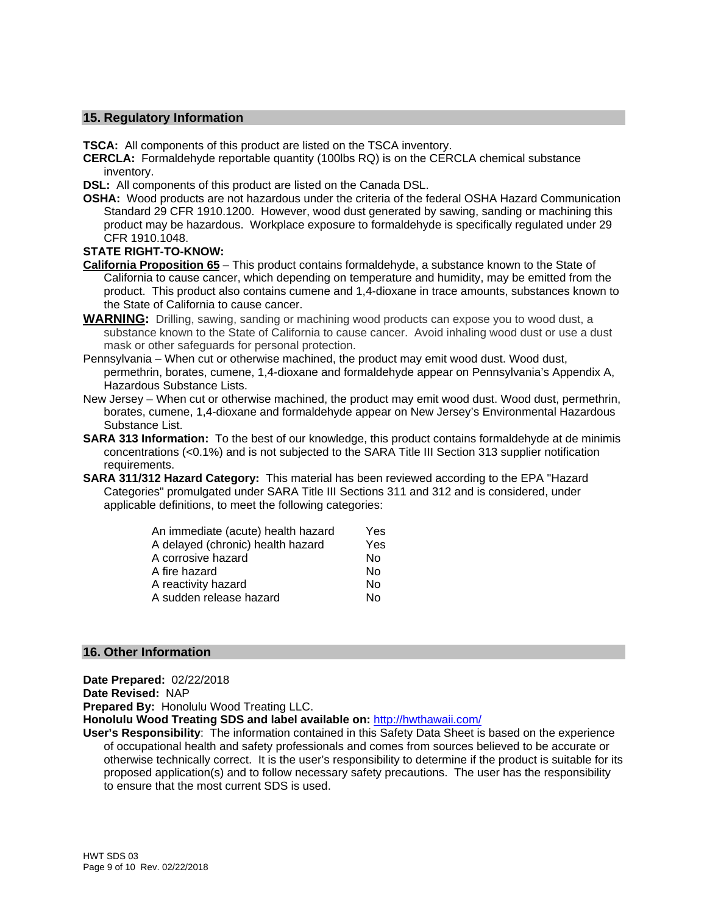#### **15. Regulatory Information**

**TSCA:** All components of this product are listed on the TSCA inventory.

- **CERCLA:** Formaldehyde reportable quantity (100lbs RQ) is on the CERCLA chemical substance inventory.
- **DSL:** All components of this product are listed on the Canada DSL.
- **OSHA:** Wood products are not hazardous under the criteria of the federal OSHA Hazard Communication Standard 29 CFR 1910.1200. However, wood dust generated by sawing, sanding or machining this product may be hazardous. Workplace exposure to formaldehyde is specifically regulated under 29 CFR 1910.1048.

#### **STATE RIGHT-TO-KNOW:**

- **California Proposition 65** This product contains formaldehyde, a substance known to the State of California to cause cancer, which depending on temperature and humidity, may be emitted from the product. This product also contains cumene and 1,4-dioxane in trace amounts, substances known to the State of California to cause cancer.
- **WARNING:** Drilling, sawing, sanding or machining wood products can expose you to wood dust, a substance known to the State of California to cause cancer. Avoid inhaling wood dust or use a dust mask or other safeguards for personal protection.
- Pennsylvania When cut or otherwise machined, the product may emit wood dust. Wood dust, permethrin, borates, cumene, 1,4-dioxane and formaldehyde appear on Pennsylvania's Appendix A, Hazardous Substance Lists.
- New Jersey When cut or otherwise machined, the product may emit wood dust. Wood dust, permethrin, borates, cumene, 1,4-dioxane and formaldehyde appear on New Jersey's Environmental Hazardous Substance List.
- **SARA 313 Information:** To the best of our knowledge, this product contains formaldehyde at de minimis concentrations (<0.1%) and is not subjected to the SARA Title III Section 313 supplier notification requirements.
- **SARA 311/312 Hazard Category:** This material has been reviewed according to the EPA "Hazard Categories" promulgated under SARA Title III Sections 311 and 312 and is considered, under applicable definitions, to meet the following categories:

| An immediate (acute) health hazard | Yes |
|------------------------------------|-----|
| A delayed (chronic) health hazard  | Yes |
| A corrosive hazard                 | No  |
| A fire hazard                      | No  |
| A reactivity hazard                | No  |
| A sudden release hazard            | No  |

#### **16. Other Information**

**Date Prepared:** 02/22/2018

**Date Revised:** NAP

**Prepared By:** Honolulu Wood Treating LLC.

**Honolulu Wood Treating SDS and label available on:** http://hwthawaii.com/

**User's Responsibility**: The information contained in this Safety Data Sheet is based on the experience of occupational health and safety professionals and comes from sources believed to be accurate or otherwise technically correct. It is the user's responsibility to determine if the product is suitable for its proposed application(s) and to follow necessary safety precautions. The user has the responsibility to ensure that the most current SDS is used.